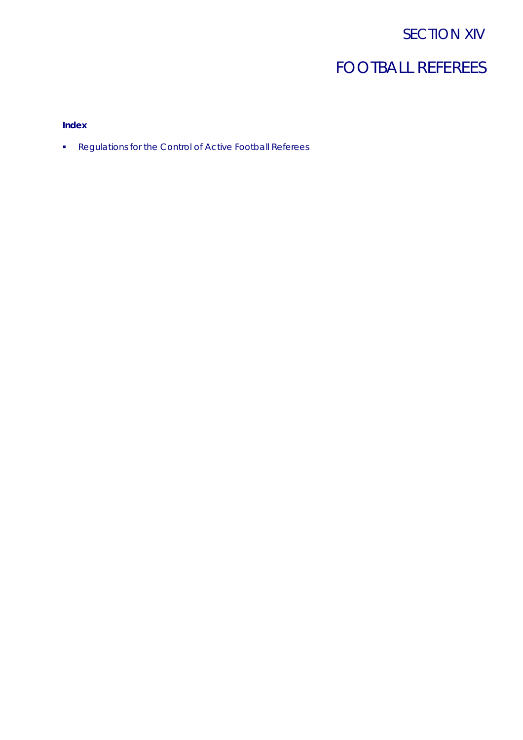## SECTION XIV

# FOOTBALL REFEREES

## **Index**

**Regulations for the Control of Active Football Referees**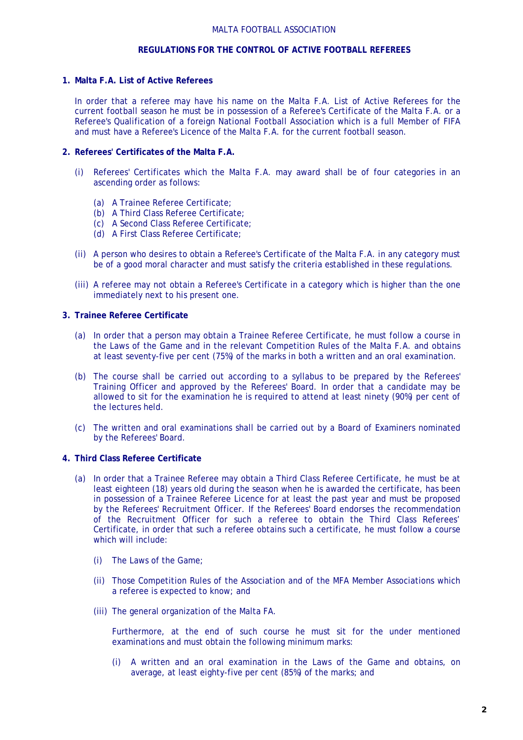#### MALTA FOOTBALL ASSOCIATION

## **REGULATIONS FOR THE CONTROL OF ACTIVE FOOTBALL REFEREES**

#### **1. Malta F.A. List of Active Referees**

In order that a referee may have his name on the Malta F.A. List of Active Referees for the current football season he must be in possession of a Referee's Certificate of the Malta F.A. or a Referee's Qualification of a foreign National Football Association which is a full Member of FIFA and must have a Referee's Licence of the Malta F.A. for the current football season.

## **2. Referees' Certificates of the Malta F.A.**

- (i) Referees' Certificates which the Malta F.A. may award shall be of four categories in an ascending order as follows:
	- (a) A Trainee Referee Certificate;
	- (b) A Third Class Referee Certificate;
	- (c) A Second Class Referee Certificate;
	- (d) A First Class Referee Certificate;
- (ii) A person who desires to obtain a Referee's Certificate of the Malta F.A. in any category must be of a good moral character and must satisfy the criteria established in these regulations.
- (iii) A referee may not obtain a Referee's Certificate in a category which is higher than the one immediately next to his present one.

## **3. Trainee Referee Certificate**

- (a) In order that a person may obtain a Trainee Referee Certificate, he must follow a course in the Laws of the Game and in the relevant Competition Rules of the Malta F.A. and obtains at least seventy-five per cent (75%) of the marks in both a written and an oral examination.
- (b) The course shall be carried out according to a syllabus to be prepared by the Referees' Training Officer and approved by the Referees' Board. In order that a candidate may be allowed to sit for the examination he is required to attend at least ninety (90%) per cent of the lectures held.
- (c) The written and oral examinations shall be carried out by a Board of Examiners nominated by the Referees' Board.

## **4. Third Class Referee Certificate**

- (a) In order that a Trainee Referee may obtain a Third Class Referee Certificate, he must be at least eighteen (18) years old during the season when he is awarded the certificate, has been in possession of a Trainee Referee Licence for at least the past year and must be proposed by the Referees' Recruitment Officer. If the Referees' Board endorses the recommendation of the Recruitment Officer for such a referee to obtain the Third Class Referees' Certificate, in order that such a referee obtains such a certificate, he must follow a course which will include:
	- (i) The Laws of the Game;
	- (ii) Those Competition Rules of the Association and of the MFA Member Associations which a referee is expected to know; and
	- (iii) The general organization of the Malta FA.

Furthermore, at the end of such course he must sit for the under mentioned examinations and must obtain the following minimum marks:

(i) A written and an oral examination in the Laws of the Game and obtains, on average, at least eighty-five per cent (85%) of the marks; and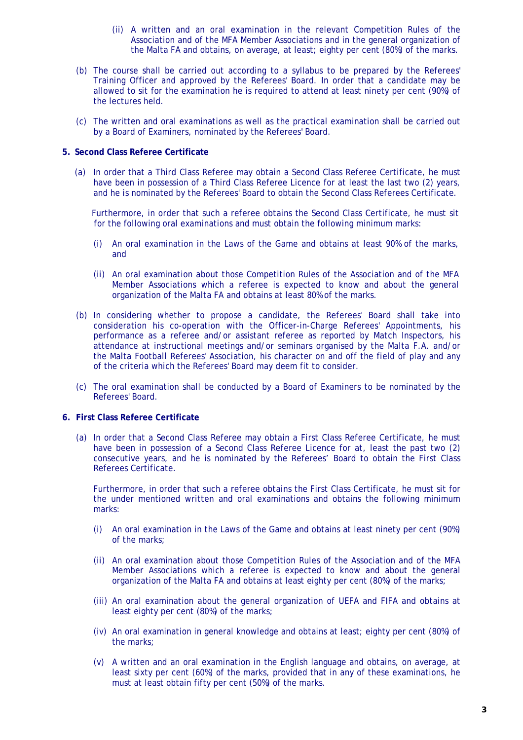- (ii) A written and an oral examination in the relevant Competition Rules of the Association and of the MFA Member Associations and in the general organization of the Malta FA and obtains, on average, at least; eighty per cent (80%) of the marks.
- (b) The course shall be carried out according to a syllabus to be prepared by the Referees' Training Officer and approved by the Referees' Board. In order that a candidate may be allowed to sit for the examination he is required to attend at least ninety per cent (90%) of the lectures held.
- (c) The written and oral examinations as well as the practical examination shall be carried out by a Board of Examiners, nominated by the Referees' Board.

## **5. Second Class Referee Certificate**

(a) In order that a Third Class Referee may obtain a Second Class Referee Certificate, he must have been in possession of a Third Class Referee Licence for at least the last two (2) years, and he is nominated by the Referees' Board to obtain the Second Class Referees Certificate.

Furthermore, in order that such a referee obtains the Second Class Certificate, he must sit for the following oral examinations and must obtain the following minimum marks:

- (i) An oral examination in the Laws of the Game and obtains at least 90% of the marks, and
- (ii) An oral examination about those Competition Rules of the Association and of the MFA Member Associations which a referee is expected to know and about the general organization of the Malta FA and obtains at least 80% of the marks.
- (b) In considering whether to propose a candidate, the Referees' Board shall take into consideration his co-operation with the Officer-in-Charge Referees' Appointments, his performance as a referee and/or assistant referee as reported by Match Inspectors, his attendance at instructional meetings and/or seminars organised by the Malta F.A. and/or the Malta Football Referees' Association, his character on and off the field of play and any of the criteria which the Referees' Board may deem fit to consider.
- (c) The oral examination shall be conducted by a Board of Examiners to be nominated by the Referees' Board.

#### **6. First Class Referee Certificate**

(a) In order that a Second Class Referee may obtain a First Class Referee Certificate, he must have been in possession of a Second Class Referee Licence for at, least the past two (2) consecutive years, and he is nominated by the Referees' Board to obtain the First Class Referees Certificate.

Furthermore, in order that such a referee obtains the First Class Certificate, he must sit for the under mentioned written and oral examinations and obtains the following minimum marks:

- (i) An oral examination in the Laws of the Game and obtains at least ninety per cent (90%) of the marks;
- (ii) An oral examination about those Competition Rules of the Association and of the MFA Member Associations which a referee is expected to know and about the general organization of the Malta FA and obtains at least eighty per cent (80%) of the marks;
- (iii) An oral examination about the general organization of UEFA and FIFA and obtains at least eighty per cent (80%) of the marks;
- (iv) An oral examination in general knowledge and obtains at least; eighty per cent (80%) of the marks;
- (v) A written and an oral examination in the English language and obtains, on average, at least sixty per cent (60%) of the marks, provided that in any of these examinations, he must at least obtain fifty per cent (50%) of the marks.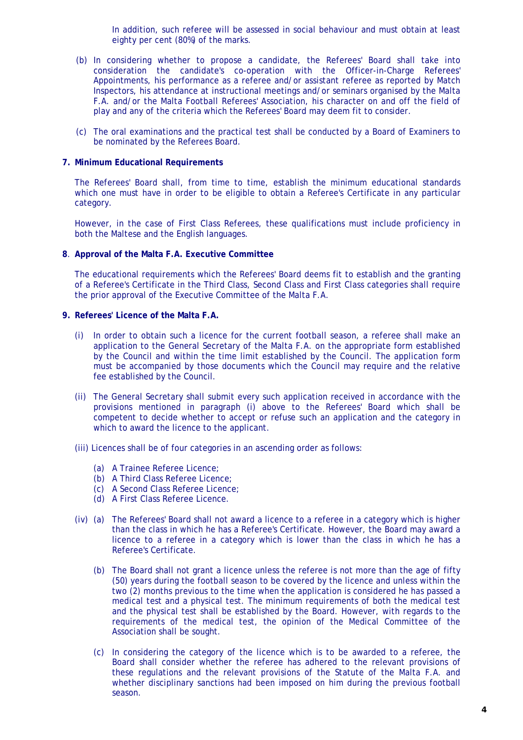In addition, such referee will be assessed in social behaviour and must obtain at least eighty per cent (80%) of the marks.

- (b) In considering whether to propose a candidate, the Referees' Board shall take into consideration the candidate's co-operation with the Officer-in-Charge Referees' Appointments, his performance as a referee and/or assistant referee as reported by Match Inspectors, his attendance at instructional meetings and/or seminars organised by the Malta F.A. and/or the Malta Football Referees' Association, his character on and off the field of play and any of the criteria which the Referees' Board may deem fit to consider.
- (c) The oral examinations and the practical test shall be conducted by a Board of Examiners to be nominated by the Referees Board.

#### **7. Minimum Educational Requirements**

The Referees' Board shall, from time to time, establish the minimum educational standards which one must have in order to be eligible to obtain a Referee's Certificate in any particular category.

However, in the case of First Class Referees, these qualifications must include proficiency in both the Maltese and the English languages.

#### **8**. **Approval of the Malta F.A. Executive Committee**

The educational requirements which the Referees' Board deems fit to establish and the granting of a Referee's Certificate in the Third Class, Second Class and First Class categories shall require the prior approval of the Executive Committee of the Malta F.A.

## **9. Referees' Licence of the Malta F.A.**

- (i) In order to obtain such a licence for the current football season, a referee shall make an application to the General Secretary of the Malta F.A. on the appropriate form established by the Council and within the time limit established by the Council. The application form must be accompanied by those documents which the Council may require and the relative fee established by the Council.
- (ii) The General Secretary shall submit every such application received in accordance with the provisions mentioned in paragraph (i) above to the Referees' Board which shall be competent to decide whether to accept or refuse such an application and the category in which to award the licence to the applicant.
- (iii) Licences shall be of four categories in an ascending order as follows:
	- (a) A Trainee Referee Licence;
	- (b) A Third Class Referee Licence;
	- (c) A Second Class Referee Licence;
	- (d) A First Class Referee Licence.
- (iv) (a) The Referees' Board shall not award a licence to a referee in a category which is higher than the class in which he has a Referee's Certificate. However, the Board may award a licence to a referee in a category which is lower than the class in which he has a Referee's Certificate.
	- (b) The Board shall not grant a licence unless the referee is not more than the age of fifty (50) years during the football season to be covered by the licence and unless within the two (2) months previous to the time when the application is considered he has passed a medical test and a physical test. The minimum requirements of both the medical test and the physical test shall be established by the Board. However, with regards to the requirements of the medical test, the opinion of the Medical Committee of the Association shall be sought.
	- (c) In considering the category of the licence which is to be awarded to a referee, the Board shall consider whether the referee has adhered to the relevant provisions of these regulations and the relevant provisions of the Statute of the Malta F.A. and whether disciplinary sanctions had been imposed on him during the previous football season.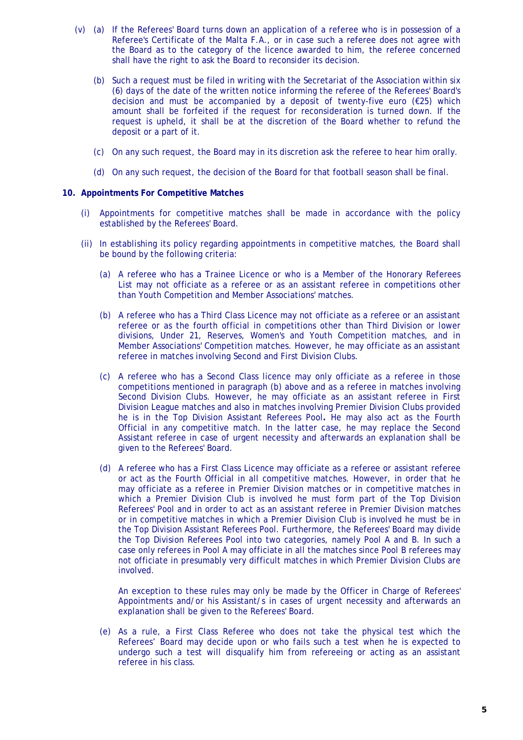- (v) (a) If the Referees' Board turns down an application of a referee who is in possession of a Referee's Certificate of the Malta F.A., or in case such a referee does not agree with the Board as to the category of the licence awarded to him, the referee concerned shall have the right to ask the Board to reconsider its decision.
	- (b) Such a request must be filed in writing with the Secretariat of the Association within six (6) days of the date of the written notice informing the referee of the Referees' Board's decision and must be accompanied by a deposit of twenty-five euro  $(\epsilon 25)$  which amount shall be forfeited if the request for reconsideration is turned down. If the request is upheld, it shall be at the discretion of the Board whether to refund the deposit or a part of it.
	- (c) On any such request, the Board may in its discretion ask the referee to hear him orally.
	- (d) On any such request, the decision of the Board for that football season shall be final.

#### **10. Appointments For Competitive Matches**

- (i) Appointments for competitive matches shall be made in accordance with the policy established by the Referees' Board.
- (ii) In establishing its policy regarding appointments in competitive matches, the Board shall be bound by the following criteria:
	- (a) A referee who has a Trainee Licence or who is a Member of the Honorary Referees List may not officiate as a referee or as an assistant referee in competitions other than Youth Competition and Member Associations' matches.
	- (b) A referee who has a Third Class Licence may not officiate as a referee or an assistant referee or as the fourth official in competitions other than Third Division or lower divisions, Under 21, Reserves, Women's and Youth Competition matches, and in Member Associations' Competition matches. However, he may officiate as an assistant referee in matches involving Second and First Division Clubs.
	- (c) A referee who has a Second Class licence may only officiate as a referee in those competitions mentioned in paragraph (b) above and as a referee in matches involving Second Division Clubs. However, he may officiate as an assistant referee in First Division League matches and also in matches involving Premier Division Clubs provided he is in the Top Division Assistant Referees Pool**.** He may also act as the Fourth Official in any competitive match. In the latter case, he may replace the Second Assistant referee in case of urgent necessity and afterwards an explanation shall be given to the Referees' Board.
	- (d) A referee who has a First Class Licence may officiate as a referee or assistant referee or act as the Fourth Official in all competitive matches. However, in order that he may officiate as a referee in Premier Division matches or in competitive matches in which a Premier Division Club is involved he must form part of the Top Division Referees' Pool and in order to act as an assistant referee in Premier Division matches or in competitive matches in which a Premier Division Club is involved he must be in the Top Division Assistant Referees Pool. Furthermore, the Referees' Board may divide the Top Division Referees Pool into two categories, namely Pool A and B. In such a case only referees in Pool A may officiate in all the matches since Pool B referees may not officiate in presumably very difficult matches in which Premier Division Clubs are involved.

 An exception to these rules may only be made by the Officer in Charge of Referees' Appointments and/or his Assistant/s in cases of urgent necessity and afterwards an explanation shall be given to the Referees' Board.

(e) As a rule, a First Class Referee who does not take the physical test which the Referees' Board may decide upon or who fails such a test when he is expected to undergo such a test will disqualify him from refereeing or acting as an assistant referee in his class.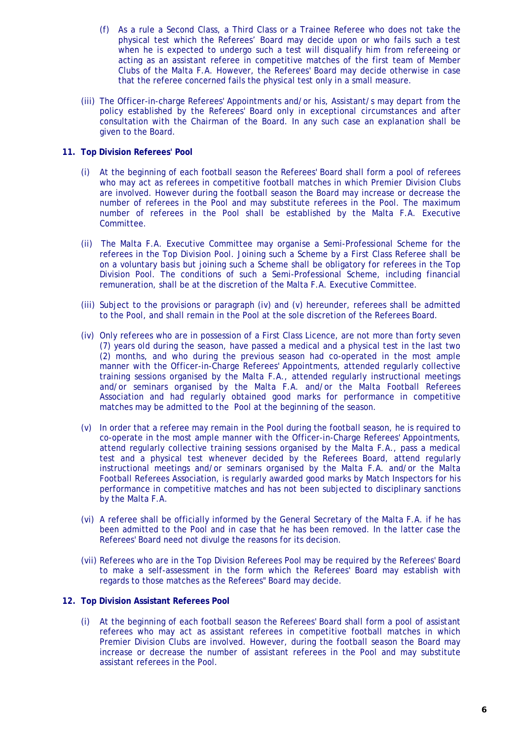- (f) As a rule a Second Class, a Third Class or a Trainee Referee who does not take the physical test which the Referees' Board may decide upon or who fails such a test when he is expected to undergo such a test will disqualify him from refereeing or acting as an assistant referee in competitive matches of the first team of Member Clubs of the Malta F.A. However, the Referees' Board may decide otherwise in case that the referee concerned fails the physical test only in a small measure.
- (iii) The Officer-in-charge Referees' Appointments and/or his, Assistant/s may depart from the policy established by the Referees' Board only in exceptional circumstances and after consultation with the Chairman of the Board. In any such case an explanation shall be given to the Board.

## **11. Top Division Referees' Pool**

- (i) At the beginning of each football season the Referees' Board shall form a pool of referees who may act as referees in competitive football matches in which Premier Division Clubs are involved. However during the football season the Board may increase or decrease the number of referees in the Pool and may substitute referees in the Pool. The maximum number of referees in the Pool shall be established by the Malta F.A. Executive Committee.
- (ii) The Malta F.A. Executive Committee may organise a Semi-Professional Scheme for the referees in the Top Division Pool. Joining such a Scheme by a First Class Referee shall be on a voluntary basis but joining such a Scheme shall be obligatory for referees in the Top Division Pool. The conditions of such a Semi-Professional Scheme, including financial remuneration, shall be at the discretion of the Malta F.A. Executive Committee.
- (iii) Subject to the provisions or paragraph (iv) and (v) hereunder, referees shall be admitted to the Pool, and shall remain in the Pool at the sole discretion of the Referees Board.
- (iv) Only referees who are in possession of a First Class Licence, are not more than forty seven (7) years old during the season, have passed a medical and a physical test in the last two (2) months, and who during the previous season had co-operated in the most ample manner with the Officer-in-Charge Referees' Appointments, attended regularly collective training sessions organised by the Malta F.A., attended regularly instructional meetings and/or seminars organised by the Malta F.A. and/or the Malta Football Referees Association and had regularly obtained good marks for performance in competitive matches may be admitted to the Pool at the beginning of the season.
- (v) In order that a referee may remain in the Pool during the football season, he is required to co-operate in the most ample manner with the Officer-in-Charge Referees' Appointments, attend regularly collective training sessions organised by the Malta F.A., pass a medical test and a physical test whenever decided by the Referees Board, attend regularly instructional meetings and/or seminars organised by the Malta F.A. and/or the Malta Football Referees Association, is regularly awarded good marks by Match Inspectors for his performance in competitive matches and has not been subjected to disciplinary sanctions by the Malta F.A.
- (vi) A referee shall be officially informed by the General Secretary of the Malta F.A. if he has been admitted to the Pool and in case that he has been removed. In the latter case the Referees' Board need not divulge the reasons for its decision.
- (vii) Referees who are in the Top Division Referees Pool may be required by the Referees' Board to make a self-assessment in the form which the Referees' Board may establish with regards to those matches as the Referees" Board may decide.

#### **12. Top Division Assistant Referees Pool**

(i) At the beginning of each football season the Referees' Board shall form a pool of assistant referees who may act as assistant referees in competitive football matches in which Premier Division Clubs are involved. However, during the football season the Board may increase or decrease the number of assistant referees in the Pool and may substitute assistant referees in the Pool.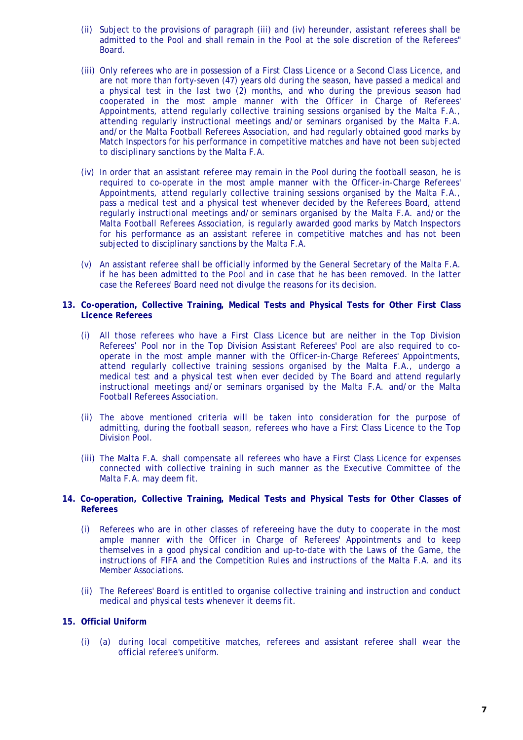- (ii) Subject to the provisions of paragraph (iii) and (iv) hereunder, assistant referees shall be admitted to the Pool and shall remain in the Pool at the sole discretion of the Referees" Board.
- (iii) Only referees who are in possession of a First Class Licence or a Second Class Licence, and are not more than forty-seven (47) years old during the season, have passed a medical and a physical test in the last two (2) months, and who during the previous season had cooperated in the most ample manner with the Officer in Charge of Referees' Appointments, attend regularly collective training sessions organised by the Malta F.A., attending regularly instructional meetings and/or seminars organised by the Malta F.A. and/or the Malta Football Referees Association, and had regularly obtained good marks by Match Inspectors for his performance in competitive matches and have not been subjected to disciplinary sanctions by the Malta F.A.
- (iv) In order that an assistant referee may remain in the Pool during the football season, he is required to co-operate in the most ample manner with the Officer-in-Charge Referees' Appointments, attend regularly collective training sessions organised by the Malta F.A., pass a medical test and a physical test whenever decided by the Referees Board, attend regularly instructional meetings and/or seminars organised by the Malta F.A. and/or the Malta Football Referees Association, is regularly awarded good marks by Match Inspectors for his performance as an assistant referee in competitive matches and has not been subjected to disciplinary sanctions by the Malta F.A.
- (v) An assistant referee shall be officially informed by the General Secretary of the Malta F.A. if he has been admitted to the Pool and in case that he has been removed. In the latter case the Referees' Board need not divulge the reasons for its decision.
- **13. Co-operation, Collective Training, Medical Tests and Physical Tests for Other First Class Licence Referees** 
	- (i) All those referees who have a First Class Licence but are neither in the Top Division Referees' Pool nor in the Top Division Assistant Referees' Pool are also required to cooperate in the most ample manner with the Officer-in-Charge Referees' Appointments, attend regularly collective training sessions organised by the Malta F.A., undergo a medical test and a physical test when ever decided by The Board and attend regularly instructional meetings and/or seminars organised by the Malta F.A. and/or the Malta Football Referees Association.
	- (ii) The above mentioned criteria will be taken into consideration for the purpose of admitting, during the football season, referees who have a First Class Licence to the Top Division Pool.
	- (iii) The Malta F.A. shall compensate all referees who have a First Class Licence for expenses connected with collective training in such manner as the Executive Committee of the Malta F.A. may deem fit.
- **14. Co-operation, Collective Training, Medical Tests and Physical Tests for Other Classes of Referees** 
	- (i) Referees who are in other classes of refereeing have the duty to cooperate in the most ample manner with the Officer in Charge of Referees' Appointments and to keep themselves in a good physical condition and up-to-date with the Laws of the Game, the instructions of FIFA and the Competition Rules and instructions of the Malta F.A. and its Member Associations.
	- (ii) The Referees' Board is entitled to organise collective training and instruction and conduct medical and physical tests whenever it deems fit.

#### **15. Official Uniform**

(i) (a) during local competitive matches, referees and assistant referee shall wear the official referee's uniform.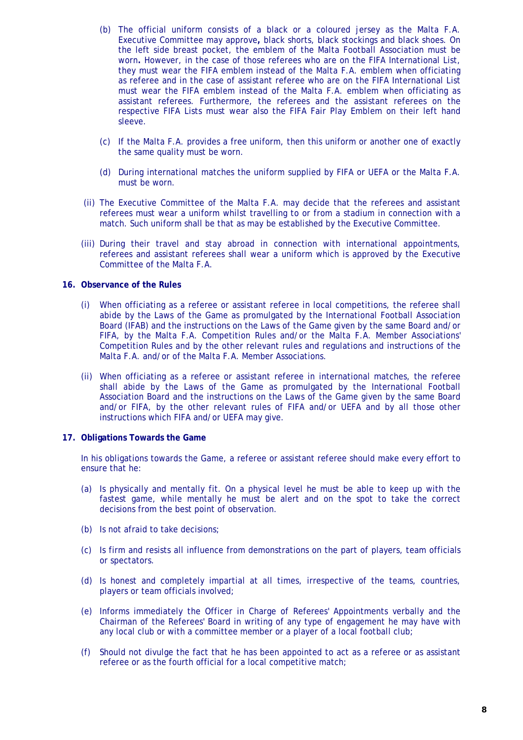- (b) The official uniform consists of a black or a coloured jersey as the Malta F.A. Executive Committee may approve**,** black shorts, black stockings and black shoes. On the left side breast pocket, the emblem of the Malta Football Association must be worn**.** However, in the case of those referees who are on the FIFA International List, they must wear the FIFA emblem instead of the Malta F.A. emblem when officiating as referee and in the case of assistant referee who are on the FIFA International List must wear the FIFA emblem instead of the Malta F.A. emblem when officiating as assistant referees. Furthermore, the referees and the assistant referees on the respective FIFA Lists must wear also the FIFA Fair Play Emblem on their left hand sleeve.
- (c) If the Malta F.A. provides a free uniform, then this uniform or another one of exactly the same quality must be worn.
- (d) During international matches the uniform supplied by FIFA or UEFA or the Malta F.A. must be worn.
- (ii) The Executive Committee of the Malta F.A. may decide that the referees and assistant referees must wear a uniform whilst travelling to or from a stadium in connection with a match. Such uniform shall be that as may be established by the Executive Committee.
- (iii) During their travel and stay abroad in connection with international appointments, referees and assistant referees shall wear a uniform which is approved by the Executive Committee of the Malta F.A.

## **16. Observance of the Rules**

- (i) When officiating as a referee or assistant referee in local competitions, the referee shall abide by the Laws of the Game as promulgated by the International Football Association Board (IFAB) and the instructions on the Laws of the Game given by the same Board and/or FIFA, by the Malta F.A. Competition Rules and/or the Malta F.A. Member Associations' Competition Rules and by the other relevant rules and regulations and instructions of the Malta F.A. and/or of the Malta F.A. Member Associations.
- (ii) When officiating as a referee or assistant referee in international matches, the referee shall abide by the Laws of the Game as promulgated by the International Football Association Board and the instructions on the Laws of the Game given by the same Board and/or FIFA, by the other relevant rules of FIFA and/or UEFA and by all those other instructions which FIFA and/or UEFA may give.

## **17. Obligations Towards the Game**

In his obligations towards the Game, a referee or assistant referee should make every effort to ensure that he:

- (a) Is physically and mentally fit. On a physical level he must be able to keep up with the fastest game, while mentally he must be alert and on the spot to take the correct decisions from the best point of observation.
- (b) Is not afraid to take decisions;
- (c) Is firm and resists all influence from demonstrations on the part of players, team officials or spectators.
- (d) Is honest and completely impartial at all times, irrespective of the teams, countries, players or team officials involved;
- (e) Informs immediately the Officer in Charge of Referees' Appointments verbally and the Chairman of the Referees' Board in writing of any type of engagement he may have with any local club or with a committee member or a player of a local football club;
- (f) Should not divulge the fact that he has been appointed to act as a referee or as assistant referee or as the fourth official for a local competitive match;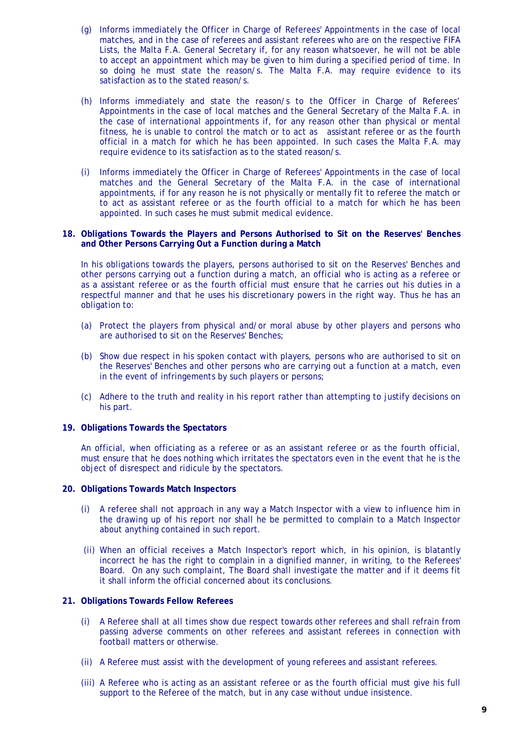- (g) Informs immediately the Officer in Charge of Referees' Appointments in the case of local matches, and in the case of referees and assistant referees who are on the respective FIFA Lists, the Malta F.A. General Secretary if, for any reason whatsoever, he will not be able to accept an appointment which may be given to him during a specified period of time. In so doing he must state the reason/s. The Malta F.A. may require evidence to its satisfaction as to the stated reason/s.
- (h) Informs immediately and state the reason/s to the Officer in Charge of Referees' Appointments in the case of local matches and the General Secretary of the Malta F.A. in the case of international appointments if, for any reason other than physical or mental fitness, he is unable to control the match or to act as assistant referee or as the fourth official in a match for which he has been appointed. In such cases the Malta F.A. may require evidence to its satisfaction as to the stated reason/s.
- (i) Informs immediately the Officer in Charge of Referees' Appointments in the case of local matches and the General Secretary of the Malta F.A. in the case of international appointments, if for any reason he is not physically or mentally fit to referee the match or to act as assistant referee or as the fourth official to a match for which he has been appointed. In such cases he must submit medical evidence.

#### **18. Obligations Towards the Players and Persons Authorised to Sit on the Reserves' Benches and Other Persons Carrying Out a Function during a Match**

In his obligations towards the players, persons authorised to sit on the Reserves' Benches and other persons carrying out a function during a match, an official who is acting as a referee or as a assistant referee or as the fourth official must ensure that he carries out his duties in a respectful manner and that he uses his discretionary powers in the right way. Thus he has an obligation to:

- (a) Protect the players from physical and/or moral abuse by other players and persons who are authorised to sit on the Reserves' Benches;
- (b) Show due respect in his spoken contact with players, persons who are authorised to sit on the Reserves' Benches and other persons who are carrying out a function at a match, even in the event of infringements by such players or persons;
- (c) Adhere to the truth and reality in his report rather than attempting to justify decisions on his part.

#### **19. Obligations Towards the Spectators**

An official, when officiating as a referee or as an assistant referee or as the fourth official, must ensure that he does nothing which irritates the spectators even in the event that he is the object of disrespect and ridicule by the spectators.

#### **20. Obligations Towards Match Inspectors**

- (i) A referee shall not approach in any way a Match Inspector with a view to influence him in the drawing up of his report nor shall he be permitted to complain to a Match Inspector about anything contained in such report.
- (ii) When an official receives a Match Inspector's report which, in his opinion, is blatantly incorrect he has the right to complain in a dignified manner, in writing, to the Referees' Board. On any such complaint, The Board shall investigate the matter and if it deems fit it shall inform the official concerned about its conclusions.

## **21. Obligations Towards Fellow Referees**

- (i) A Referee shall at all times show due respect towards other referees and shall refrain from passing adverse comments on other referees and assistant referees in connection with football matters or otherwise.
- (ii) A Referee must assist with the development of young referees and assistant referees.
- (iii) A Referee who is acting as an assistant referee or as the fourth official must give his full support to the Referee of the match, but in any case without undue insistence.